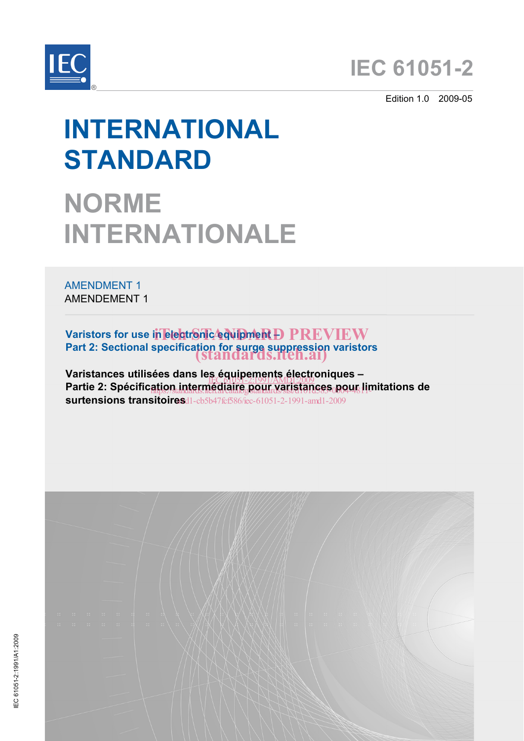

Edition 1.0 2009-05

# **INTERNATIONAL STANDARD**

# **NORME INTERNATIONALE**

AMENDMENT 1 AMENDEMENT 1

**Varistors for use in electronic equipment D PREVIEW Part 2: Sectional specification for surge suppression varistors**  (standards.iteh.ai)

**Varistances utilisées dans les équipements électroniques – Partie 2: Spécification intermédiaire pour varistances pour limitations de**<br>Partie 2: Spécific<u>ation intermédiaire pour varistances pour li</u>mitations de **surtensions transitoires** d1-cb5b47fcf586/iec-61051-2-1991-amd1-2009 ation.intermegiaire.pour.xaristances.poque l'in

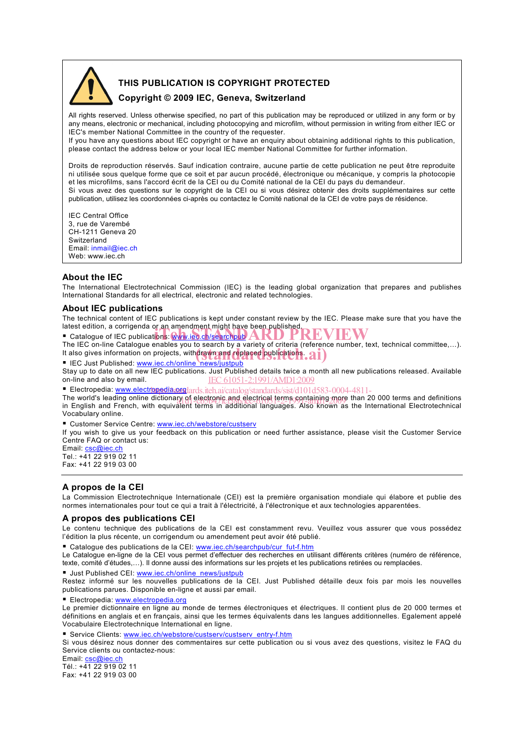

# **THIS PUBLICATION IS COPYRIGHT PROTECTED**

### **Copyright © 2009 IEC, Geneva, Switzerland**

All rights reserved. Unless otherwise specified, no part of this publication may be reproduced or utilized in any form or by any means, electronic or mechanical, including photocopying and microfilm, without permission in writing from either IEC or IEC's member National Committee in the country of the requester.

If you have any questions about IEC copyright or have an enquiry about obtaining additional rights to this publication, please contact the address below or your local IEC member National Committee for further information.

Droits de reproduction réservés. Sauf indication contraire, aucune partie de cette publication ne peut être reproduite ni utilisée sous quelque forme que ce soit et par aucun procédé, électronique ou mécanique, y compris la photocopie et les microfilms, sans l'accord écrit de la CEI ou du Comité national de la CEI du pays du demandeur. Si vous avez des questions sur le copyright de la CEI ou si vous désirez obtenir des droits supplémentaires sur cette publication, utilisez les coordonnées ci-après ou contactez le Comité national de la CEI de votre pays de résidence.

IEC Central Office 3, rue de Varembé CH-1211 Geneva 20 Switzerland Email: inmail@iec.ch Web: www.iec.ch

#### **About the IEC**

The International Electrotechnical Commission (IEC) is the leading global organization that prepares and publishes International Standards for all electrical, electronic and related technologies.

#### **About IEC publications**

The technical content of IEC publications is kept under constant review by the IEC. Please make sure that you have the latest edition, a corrigenda or an amendment might have been published.

Catalogue of IEC publications: www.iec.ch/searchpub

The IEC on-line Catalogue enables you to search by a variety of criteria (reference number, text, technical committee,...).<br>■ Catalogue of IEC publications: www.iec.ch/search by a variety of criteria (reference number, te It also gives information on projects, withdrawn and replaced publications.<br>
E IEC Just Published: www.jec.ch/online.news/justaub.

■ IEC Just Published: www.iec.ch/online\_news/justpub

Stay up to date on all new IEC publications. Just Published details twice a month all new publications released. Available on-line and also by email. IEC 61051-2:1991/AMD1:2009

Electropedia: www.electropedia.org/ards.iteh.ai/catalog/standards/sist/d101d583-0004-4811-

The world's leading online dictionary of electronic and electrical terms containing more than 20 000 terms and definitions in the control of the control of the control of the control of the control of the control of the co in English and French, with equivalent terms in additional languages. Also known as the International Electrotechnical Vocabulary online.

Customer Service Centre: www.iec.ch/webstore/custserv

If you wish to give us your feedback on this publication or need further assistance, please visit the Customer Service Centre FAQ or contact us:

Email: csc@iec.ch Tel.: +41 22 919 02 11

Fax: +41 22 919 03 00

# **A propos de la CEI**

La Commission Electrotechnique Internationale (CEI) est la première organisation mondiale qui élabore et publie des normes internationales pour tout ce qui a trait à l'électricité, à l'électronique et aux technologies apparentées.

#### **A propos des publications CEI**

Le contenu technique des publications de la CEI est constamment revu. Veuillez vous assurer que vous possédez l'édition la plus récente, un corrigendum ou amendement peut avoir été publié.

■ Catalogue des publications de la CEI: www.iec.ch/searchpub/cur\_fut-f.htm

Le Catalogue en-ligne de la CEI vous permet d'effectuer des recherches en utilisant différents critères (numéro de référence, texte, comité d'études,…). Il donne aussi des informations sur les projets et les publications retirées ou remplacées.

■ Just Published CEI: www.iec.ch/online\_news/justpub

Restez informé sur les nouvelles publications de la CEI. Just Published détaille deux fois par mois les nouvelles publications parues. Disponible en-ligne et aussi par email.

Electropedia: www.electropedia.org

Le premier dictionnaire en ligne au monde de termes électroniques et électriques. Il contient plus de 20 000 termes et définitions en anglais et en français, ainsi que les termes équivalents dans les langues additionnelles. Egalement appelé Vocabulaire Electrotechnique International en ligne.

■ Service Clients: www.iec.ch/webstore/custserv/custserv\_entry-f.htm

Si vous désirez nous donner des commentaires sur cette publication ou si vous avez des questions, visitez le FAQ du Service clients ou contactez-nous:

Email: csc@iec.ch Tél.: +41 22 919 02 11

Fax: +41 22 919 03 00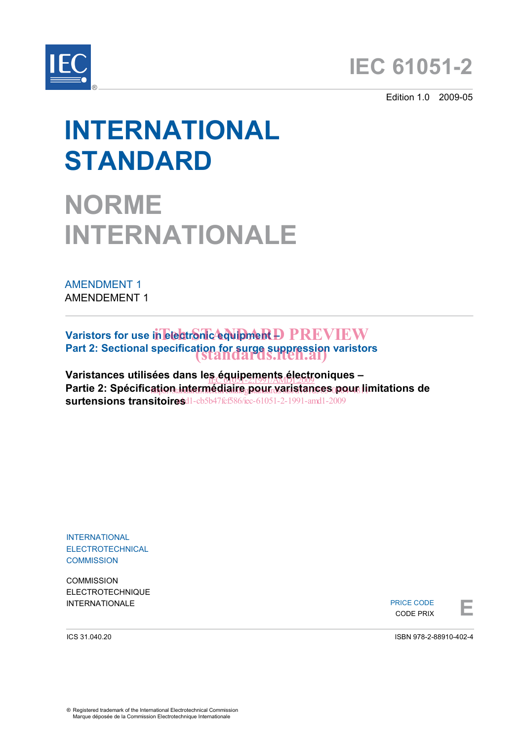



Edition 1.0 2009-05

# **INTERNATIONAL STANDARD**

# **NORME INTERNATIONALE**

AMENDMENT 1 AMENDEMENT 1

Varistors for use in electronic equipment D PREVIEW Part 2: Sectional specification for surge suppression varistors<br>
(Standards.iten.ai)

Varistances utilisées dans le<u>s équipements électr</u>oniques –<br>-Partie 2: Spécific<u>ation intermédiaire pour varistances pour li</u>mitations de **surtensions transitoires**  a1d1-cb5b47fcf586/iec-61051-2-1991-amd1-2009

INTERNATIONAL ELECTROTECHNICAL **COMMISSION** 

**COMMISSION** ELECTROTECHNIQUE

INTERNATIONALE **EXECUTE A REPORT OF THE EXECUTIVE OF THE EXECUTE A**<br>
EXECUTE PRIX PRICE CODE CODE PRIX



ICS 31.040.20

ISBN 978-2-88910-402-4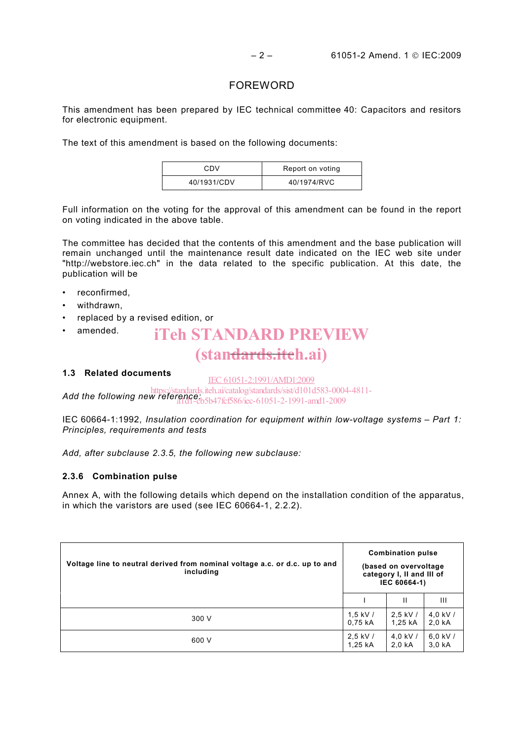# FOREWORD

This amendment has been prepared by IEC technical committee 40: Capacitors and resitors for electronic equipment.

The text of this amendment is based on the following documents:

| CDV         | Report on voting |  |  |  |  |
|-------------|------------------|--|--|--|--|
| 40/1931/CDV | 40/1974/RVC      |  |  |  |  |

Full information on the voting for the approval of this amendment can be found in the report on voting indicated in the above table.

The committee has decided that the contents of this amendment and the base publication will remain unchanged until the maintenance result date indicated on the IEC web site under "http://webstore.iec.ch" in the data related to the specific publication. At this date, the publication will be

- reconfirmed,
- withdrawn.
- replaced by a revised edition, or
- amended. (stan<del>dards.itc</del>h.ai) iTeh STANDARD PREVIEW

# **1.3 Related documents**

IEC 61051-2:1991/AMD1:2009

**Add the following new reference:** iteh.ai/catalog/standards/sist/d101d583-0004-4811-<br>Add the following new reference: 14764596/so 61051.2, 1991.exed.2009 a1d1-cb5b47fcf586/iec-61051-2-1991-amd1-2009

IEC 60664-1:1992, *Insulation coordination for equipment within low-voltage systems – Part 1: Principles, requirements and tests* 

*Add, after subclause 2.3.5, the following new subclause:* 

# **2.3.6 Combination pulse**

Annex A, with the following details which depend on the installation condition of the apparatus, in which the varistors are used (see IEC 60664-1, 2.2.2).

| Voltage line to neutral derived from nominal voltage a.c. or d.c. up to and<br>including | <b>Combination pulse</b><br>(based on overvoltage)<br>category I, II and III of<br>IEC 60664-1) |            |            |  |
|------------------------------------------------------------------------------------------|-------------------------------------------------------------------------------------------------|------------|------------|--|
|                                                                                          |                                                                                                 | Ш          | Ш          |  |
| 300 V                                                                                    | 1.5 kV $/$                                                                                      | $2,5$ kV / | 4.0 kV $/$ |  |
|                                                                                          | 0,75 kA                                                                                         | 1,25 kA    | $2,0$ kA   |  |
| 600 V                                                                                    | $2.5$ kV /                                                                                      | 4.0 kV $/$ | $6.0$ kV / |  |
|                                                                                          | 1,25 kA                                                                                         | 2,0 kA     | $3.0k$ A   |  |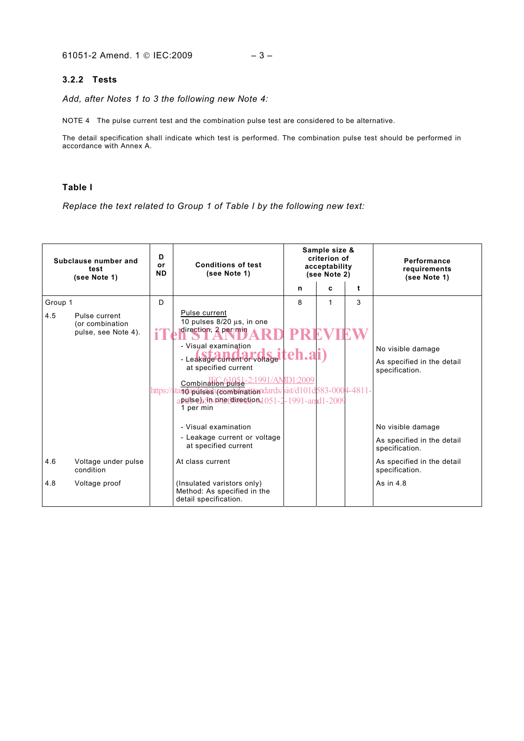#### **3.2.2 Tests**

*Add, after Notes 1 to 3 the following new Note 4:* 

NOTE 4 The pulse current test and the combination pulse test are considered to be alternative.

The detail specification shall indicate which test is performed. The combination pulse test should be performed in accordance with Annex A.

# **Table I**

*Replace the text related to Group 1 of Table I by the following new text:* 

| Subclause number and<br>test<br>(see Note 1) |                                                         | D<br><b>or</b><br><b>ND</b> | <b>Conditions of test</b><br>(see Note 1)                                                                                                                                                                                                                                                                                             |   | Sample size &<br>criterion of<br>acceptability<br>(see Note 2) |             | Performance<br>requirements<br>(see Note 1)                       |
|----------------------------------------------|---------------------------------------------------------|-----------------------------|---------------------------------------------------------------------------------------------------------------------------------------------------------------------------------------------------------------------------------------------------------------------------------------------------------------------------------------|---|----------------------------------------------------------------|-------------|-------------------------------------------------------------------|
|                                              |                                                         |                             |                                                                                                                                                                                                                                                                                                                                       | n | C                                                              | $\mathbf t$ |                                                                   |
| Group 1                                      |                                                         | D                           |                                                                                                                                                                                                                                                                                                                                       | 8 | $\mathbf{1}$                                                   | 3           |                                                                   |
| 4.5                                          | Pulse current<br>(or combination<br>pulse, see Note 4). |                             | Pulse current<br>10 pulses 8/20 µs, in one<br>direction, 2 per min<br>- Visual examination<br>- Leakage current or voltage teh.ai<br>at specified current<br>Combination pulse-2:1991/AMD1:2009<br>https://standapulses1/combingtiomdards/sist/d101d583-0004-4811-<br>apulse), 10-pmercine stic 6 1051-2-1991-and 1-2009<br>1 per min |   |                                                                |             | No visible damage<br>As specified in the detail<br>specification. |
|                                              |                                                         |                             | - Visual examination                                                                                                                                                                                                                                                                                                                  |   |                                                                |             | No visible damage                                                 |
|                                              |                                                         |                             | - Leakage current or voltage<br>at specified current                                                                                                                                                                                                                                                                                  |   |                                                                |             | As specified in the detail<br>specification.                      |
| 4.6                                          | Voltage under pulse<br>condition                        |                             | At class current                                                                                                                                                                                                                                                                                                                      |   |                                                                |             | As specified in the detail<br>specification.                      |
| 4.8                                          | Voltage proof                                           |                             | (Insulated varistors only)<br>Method: As specified in the<br>detail specification.                                                                                                                                                                                                                                                    |   |                                                                |             | As in 4.8                                                         |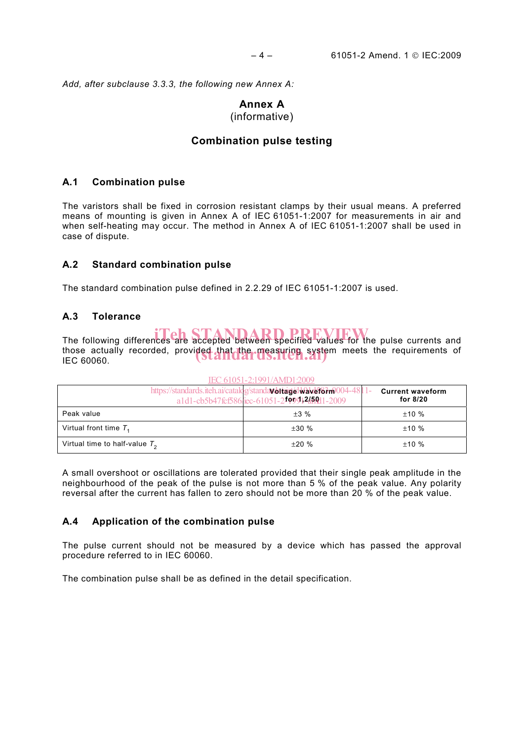*Add, after subclause 3.3.3, the following new Annex A:* 

# **Annex A**

# (informative)

# **Combination pulse testing**

# **A.1 Combination pulse**

The varistors shall be fixed in corrosion resistant clamps by their usual means. A preferred means of mounting is given in Annex A of IEC 61051-1:2007 for measurements in air and when self-heating may occur. The method in Annex A of IEC 61051-1:2007 shall be used in case of dispute.

# **A.2 Standard combination pulse**

The standard combination pulse defined in 2.2.29 of IEC 61051-1:2007 is used.

# **A.3 Tolerance**

| The following differences are accepted between specified values for the pulse currents and<br>those actually recorded, provided that the measuring system meets the requirements of<br>IEC 60060.                                                                                                |                                                                                                                              |                                     |  |  |  |  |
|--------------------------------------------------------------------------------------------------------------------------------------------------------------------------------------------------------------------------------------------------------------------------------------------------|------------------------------------------------------------------------------------------------------------------------------|-------------------------------------|--|--|--|--|
|                                                                                                                                                                                                                                                                                                  | IEC 61051-2:1991/AMD1:2009                                                                                                   |                                     |  |  |  |  |
|                                                                                                                                                                                                                                                                                                  | https://standards.iteh.ai/catalog/standa <b>voltagelwaveform</b> 004-4811-<br>a1d1-cb5b47fcf586/iec-61051-2f99912459t11-2009 | <b>Current waveform</b><br>for 8/20 |  |  |  |  |
| Peak value                                                                                                                                                                                                                                                                                       | $\pm 3 \%$                                                                                                                   | ±10%                                |  |  |  |  |
| Virtual front time $T_1$                                                                                                                                                                                                                                                                         | $\pm 30$ %                                                                                                                   | ±10%                                |  |  |  |  |
| Virtual time to half-value $T_2$                                                                                                                                                                                                                                                                 | ±20%                                                                                                                         | ±10%                                |  |  |  |  |
| A small overshoot or oscillations are tolerated provided that their single peak amplitude in the<br>neighbourhood of the peak of the pulse is not more than 5 % of the peak value. Any polarity<br>reversal after the current has fallen to zero should not be more than 20 % of the peak value. |                                                                                                                              |                                     |  |  |  |  |
| Application of the combination pulse<br>A.4                                                                                                                                                                                                                                                      |                                                                                                                              |                                     |  |  |  |  |
| The pulse current should not be measured by a device which has passed the approval<br>procedure referred to in IEC 60060.                                                                                                                                                                        |                                                                                                                              |                                     |  |  |  |  |
| The combination pulse shall be as defined in the detail specification.                                                                                                                                                                                                                           |                                                                                                                              |                                     |  |  |  |  |

#### A small overshoot or oscillations are tolerated provided that their single peak amplitude in the neighbourhood of the peak of the pulse is not more than 5 % of the peak value. Any polarity reversal after the current has fallen to zero should not be more than 20 % of the peak value.

# **A.4 Application of the combination pulse**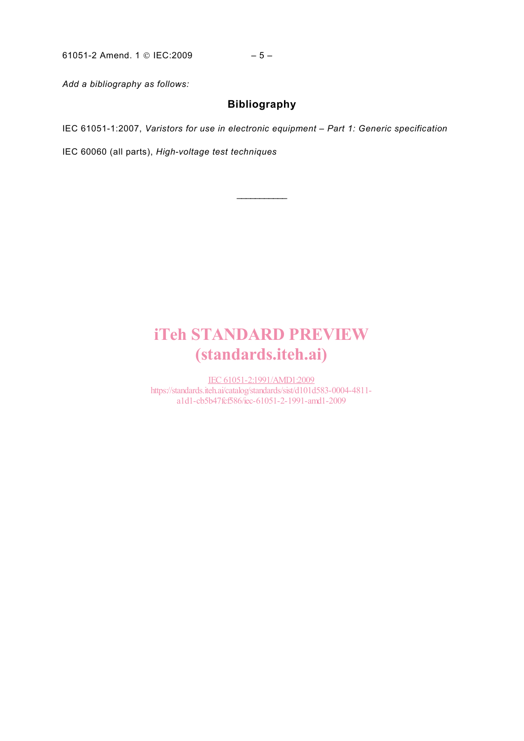61051-2 Amend. 1 © IEC:2009 – 5 –

*Add a bibliography as follows:* 

# **Bibliography**

 $\frac{1}{2}$ 

IEC 61051-1:2007, *Varistors for use in electronic equipment – Part 1: Generic specification*

IEC 60060 (all parts), *High-voltage test techniques* 

# iTeh STANDARD PREVIEW (standards.iteh.ai)

IEC 61051-2:1991/AMD1:2009 https://standards.iteh.ai/catalog/standards/sist/d101d583-0004-4811 a1d1-cb5b47fcf586/iec-61051-2-1991-amd1-2009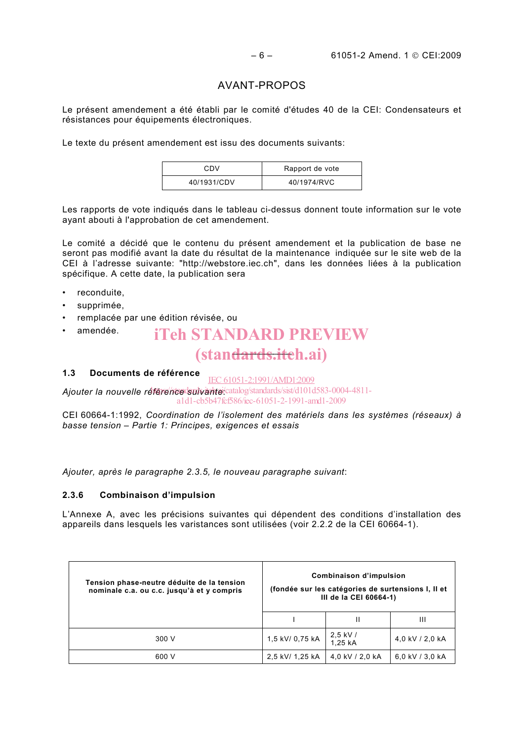# AVANT-PROPOS

Le présent amendement a été établi par le comité d'études 40 de la CEI: Condensateurs et résistances pour équipements électroniques.

Le texte du présent amendement est issu des documents suivants:

| CDV         | Rapport de vote |  |  |  |  |
|-------------|-----------------|--|--|--|--|
| 40/1931/CDV | 40/1974/RVC     |  |  |  |  |

Les rapports de vote indiqués dans le tableau ci-dessus donnent toute information sur le vote ayant abouti à l'approbation de cet amendement.

Le comité a décidé que le contenu du présent amendement et la publication de base ne seront pas modifié avant la date du résultat de la maintenance indiquée sur le site web de la CEI à l'adresse suivante: "http://webstore.iec.ch", dans les données liées à la publication spécifique. A cette date, la publication sera

- reconduite,
- supprimée,
- remplacée par une édition révisée, ou
- amendée. (stan<del>dards.itc</del>h.ai) iTeh STANDARD PREVIEW

#### **1.3 Documents de référence**  IEC 61051-2:1991/AMD1:2009

Ajouter la nouvelle référence suivante *catalog/standards/sist/d101d583-0004-4811*a1d1-cb5b47fcf586/iec-61051-2-1991-amd1-2009

CEI 60664-1:1992, *Coordination de l'isolement des matériels dans les systèmes (réseaux) à basse tension – Partie 1: Principes, exigences et essais*

*Ajouter, après le paragraphe 2.3.5, le nouveau paragraphe suivant*:

#### **2.3.6 Combinaison d'impulsion**

L'Annexe A, avec les précisions suivantes qui dépendent des conditions d'installation des appareils dans lesquels les varistances sont utilisées (voir 2.2.2 de la CEI 60664-1).

| Tension phase-neutre déduite de la tension<br>nominale c.a. ou c.c. jusqu'à et y compris | Combinaison d'impulsion<br>(fondée sur les catégories de surtensions I, Il et<br>III de la CEI 60664-1) |                       |                 |  |  |
|------------------------------------------------------------------------------------------|---------------------------------------------------------------------------------------------------------|-----------------------|-----------------|--|--|
|                                                                                          |                                                                                                         |                       | Ш               |  |  |
| 300 V                                                                                    | 1,5 kV/ 0,75 kA                                                                                         | $2,5$ kV /<br>1.25 kA | 4.0 kV / 2.0 kA |  |  |
| 600 V                                                                                    | 2,5 kV/ 1,25 kA                                                                                         | 4,0 kV / 2,0 kA       | 6.0 kV / 3.0 kA |  |  |